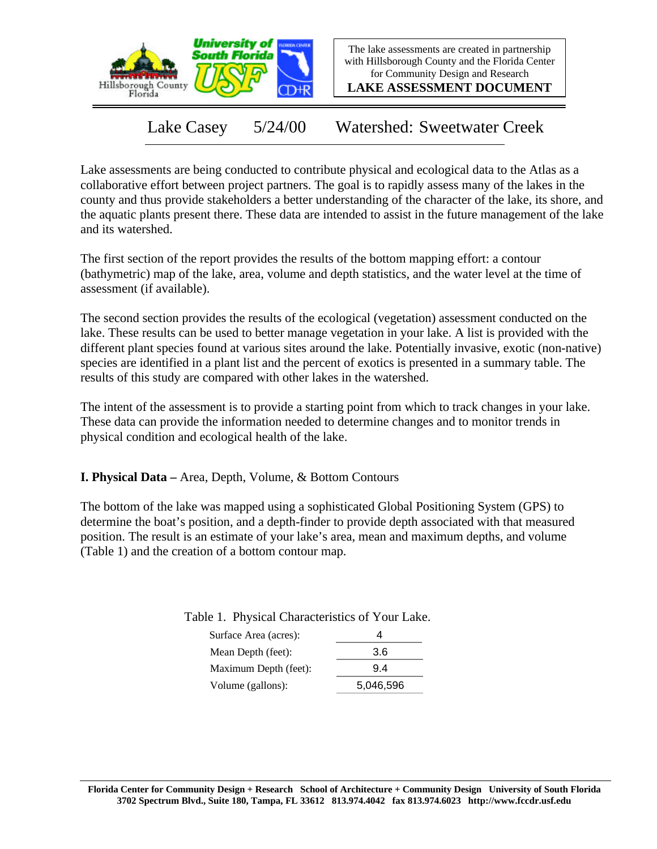

The lake assessments are created in partnership with Hillsborough County and the Florida Center for Community Design and Research

**LAKE ASSESSMENT DOCUMENT**

Lake Casey 5/24/00 Watershed: Sweetwater Creek

Lake assessments are being conducted to contribute physical and ecological data to the Atlas as a collaborative effort between project partners. The goal is to rapidly assess many of the lakes in the county and thus provide stakeholders a better understanding of the character of the lake, its shore, and the aquatic plants present there. These data are intended to assist in the future management of the lake and its watershed.

The first section of the report provides the results of the bottom mapping effort: a contour (bathymetric) map of the lake, area, volume and depth statistics, and the water level at the time of assessment (if available).

The second section provides the results of the ecological (vegetation) assessment conducted on the lake. These results can be used to better manage vegetation in your lake. A list is provided with the different plant species found at various sites around the lake. Potentially invasive, exotic (non-native) species are identified in a plant list and the percent of exotics is presented in a summary table. The results of this study are compared with other lakes in the watershed.

The intent of the assessment is to provide a starting point from which to track changes in your lake. These data can provide the information needed to determine changes and to monitor trends in physical condition and ecological health of the lake.

**I. Physical Data –** Area, Depth, Volume, & Bottom Contours

The bottom of the lake was mapped using a sophisticated Global Positioning System (GPS) to determine the boat's position, and a depth-finder to provide depth associated with that measured position. The result is an estimate of your lake's area, mean and maximum depths, and volume (Table 1) and the creation of a bottom contour map.

| Surface Area (acres): |           |  |  |
|-----------------------|-----------|--|--|
| Mean Depth (feet):    | 3.6       |  |  |
| Maximum Depth (feet): | 94        |  |  |
| Volume (gallons):     | 5,046,596 |  |  |

Table 1. Physical Characteristics of Your Lake.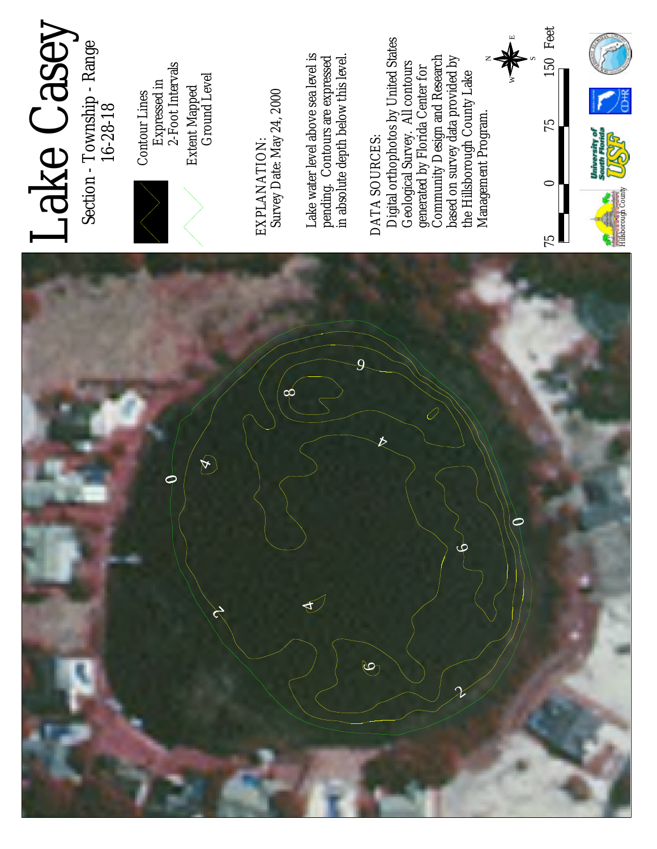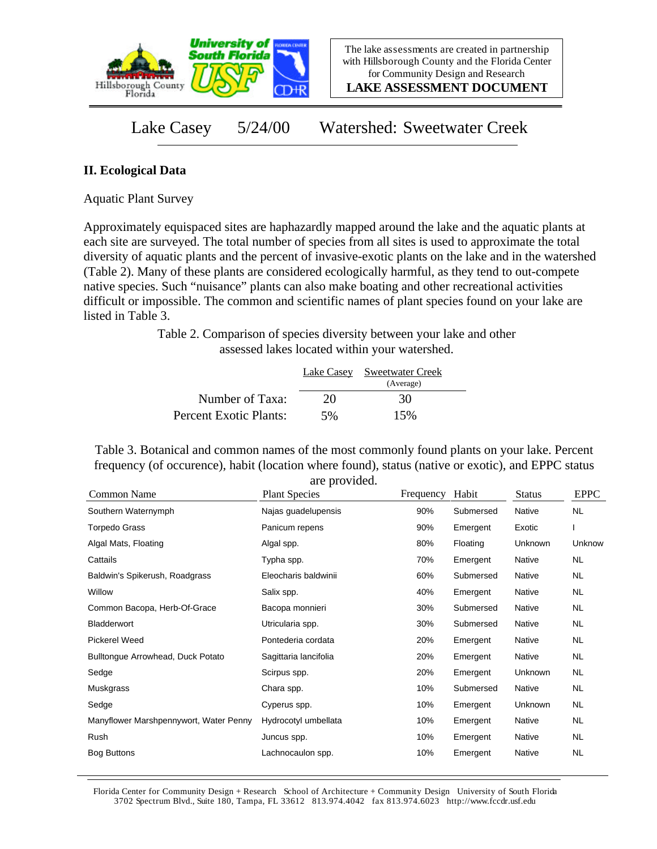

**LAKE ASSESSMENT DOCUMENT**

Lake Casey 5/24/00 Watershed: Sweetwater Creek

## **II. Ecological Data**

Aquatic Plant Survey

Approximately equispaced sites are haphazardly mapped around the lake and the aquatic plants at each site are surveyed. The total number of species from all sites is used to approximate the total diversity of aquatic plants and the percent of invasive-exotic plants on the lake and in the watershed (Table 2). Many of these plants are considered ecologically harmful, as they tend to out-compete native species. Such "nuisance" plants can also make boating and other recreational activities difficult or impossible. The common and scientific names of plant species found on your lake are listed in Table 3.

> Table 2. Comparison of species diversity between your lake and other assessed lakes located within your watershed.

|                        |    | Lake Casey Sweetwater Creek<br>(Average) |  |
|------------------------|----|------------------------------------------|--|
| Number of Taxa:        | 20 | 30                                       |  |
| Percent Exotic Plants: | 5% | 15%                                      |  |

Table 3. Botanical and common names of the most commonly found plants on your lake. Percent frequency (of occurence), habit (location where found), status (native or exotic), and EPPC status are provided.

| Common Name                            | <b>Plant Species</b>  | Frequency | Habit     | <b>Status</b> | <b>EPPC</b> |
|----------------------------------------|-----------------------|-----------|-----------|---------------|-------------|
| Southern Waternymph                    | Najas guadelupensis   | 90%       | Submersed | Native        | <b>NL</b>   |
| <b>Torpedo Grass</b>                   | Panicum repens        | 90%       | Emergent  | Exotic        |             |
| Algal Mats, Floating                   | Algal spp.            | 80%       | Floating  | Unknown       | Unknow      |
| Cattails                               | Typha spp.            | 70%       | Emergent  | Native        | NL.         |
| Baldwin's Spikerush, Roadgrass         | Eleocharis baldwinii  | 60%       | Submersed | Native        | NL.         |
| Willow                                 | Salix spp.            | 40%       | Emergent  | Native        | NL          |
| Common Bacopa, Herb-Of-Grace           | Bacopa monnieri       | 30%       | Submersed | Native        | NL.         |
| Bladderwort                            | Utricularia spp.      | 30%       | Submersed | Native        | <b>NL</b>   |
| <b>Pickerel Weed</b>                   | Pontederia cordata    | 20%       | Emergent  | Native        | NL.         |
| Bulltongue Arrowhead, Duck Potato      | Sagittaria lancifolia | 20%       | Emergent  | Native        | NL.         |
| Sedge                                  | Scirpus spp.          | 20%       | Emergent  | Unknown       | NL.         |
| Muskgrass                              | Chara spp.            | 10%       | Submersed | Native        | NL.         |
| Sedge                                  | Cyperus spp.          | 10%       | Emergent  | Unknown       | NL.         |
| Manyflower Marshpennywort, Water Penny | Hydrocotyl umbellata  | 10%       | Emergent  | Native        | <b>NL</b>   |
| Rush                                   | Juncus spp.           | 10%       | Emergent  | Native        | NL.         |
| <b>Bog Buttons</b>                     | Lachnocaulon spp.     | 10%       | Emergent  | Native        | NL.         |

Florida Center for Community Design + Research School of Architecture + Community Design University of South Florida 3702 Spectrum Blvd., Suite 180, Tampa, FL 33612 813.974.4042 fax 813.974.6023 http://www.fccdr.usf.edu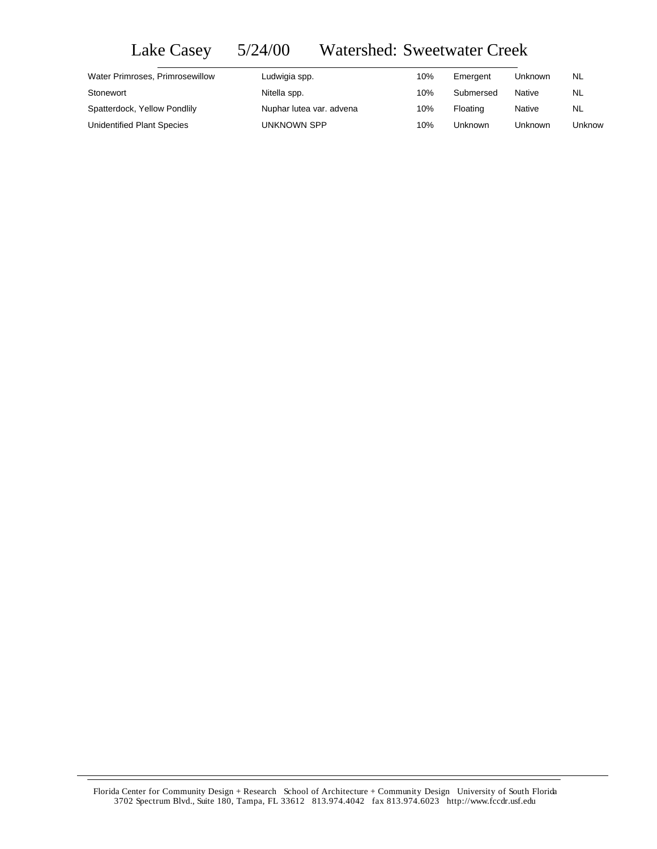## Lake Casey 5/24/00 Watershed: Sweetwater Creek

| Water Primroses, Primrosewillow | Ludwigia spp.            | 10% | Emergent  | Unknown | NL.    |
|---------------------------------|--------------------------|-----|-----------|---------|--------|
| Stonewort                       | Nitella spp.             | 10% | Submersed | Native  | NL.    |
| Spatterdock, Yellow Pondlily    | Nuphar lutea var. advena | 10% | Floating  | Native  | NL     |
| Unidentified Plant Species      | UNKNOWN SPP              | 10% | Unknown   | Unknown | Unknow |